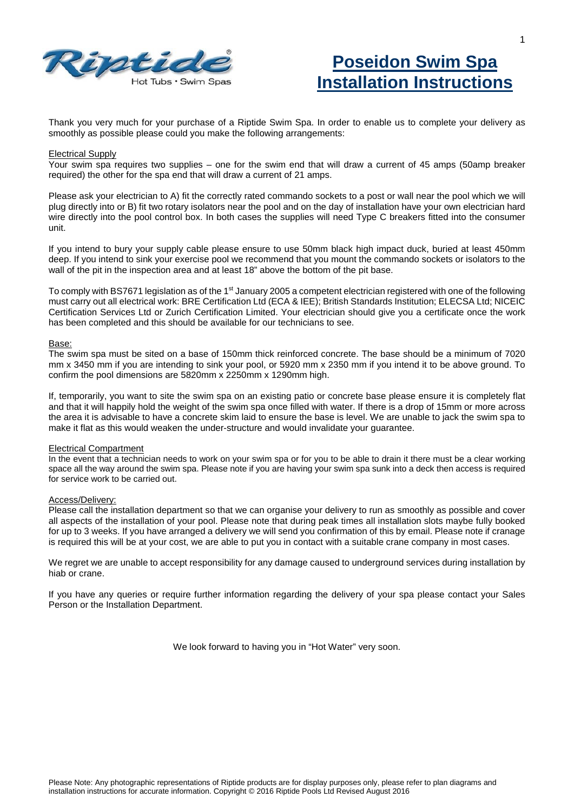



Thank you very much for your purchase of a Riptide Swim Spa. In order to enable us to complete your delivery as smoothly as possible please could you make the following arrangements:

### Electrical Supply

Your swim spa requires two supplies – one for the swim end that will draw a current of 45 amps (50amp breaker required) the other for the spa end that will draw a current of 21 amps.

Please ask your electrician to A) fit the correctly rated commando sockets to a post or wall near the pool which we will plug directly into or B) fit two rotary isolators near the pool and on the day of installation have your own electrician hard wire directly into the pool control box. In both cases the supplies will need Type C breakers fitted into the consumer unit.

If you intend to bury your supply cable please ensure to use 50mm black high impact duck, buried at least 450mm deep. If you intend to sink your exercise pool we recommend that you mount the commando sockets or isolators to the wall of the pit in the inspection area and at least 18" above the bottom of the pit base.

To comply with BS7671 legislation as of the 1<sup>st</sup> January 2005 a competent electrician registered with one of the following must carry out all electrical work: BRE Certification Ltd (ECA & IEE); British Standards Institution; ELECSA Ltd; NICEIC Certification Services Ltd or Zurich Certification Limited. Your electrician should give you a certificate once the work has been completed and this should be available for our technicians to see.

#### Base:

The swim spa must be sited on a base of 150mm thick reinforced concrete. The base should be a minimum of 7020 mm x 3450 mm if you are intending to sink your pool, or 5920 mm x 2350 mm if you intend it to be above ground. To confirm the pool dimensions are 5820mm x 2250mm x 1290mm high.

If, temporarily, you want to site the swim spa on an existing patio or concrete base please ensure it is completely flat and that it will happily hold the weight of the swim spa once filled with water. If there is a drop of 15mm or more across the area it is advisable to have a concrete skim laid to ensure the base is level. We are unable to jack the swim spa to make it flat as this would weaken the under-structure and would invalidate your guarantee.

#### Electrical Compartment

In the event that a technician needs to work on your swim spa or for you to be able to drain it there must be a clear working space all the way around the swim spa. Please note if you are having your swim spa sunk into a deck then access is required for service work to be carried out.

## Access/Delivery:

Please call the installation department so that we can organise your delivery to run as smoothly as possible and cover all aspects of the installation of your pool. Please note that during peak times all installation slots maybe fully booked for up to 3 weeks. If you have arranged a delivery we will send you confirmation of this by email. Please note if cranage is required this will be at your cost, we are able to put you in contact with a suitable crane company in most cases.

We regret we are unable to accept responsibility for any damage caused to underground services during installation by hiab or crane.

If you have any queries or require further information regarding the delivery of your spa please contact your Sales Person or the Installation Department.

We look forward to having you in "Hot Water" very soon.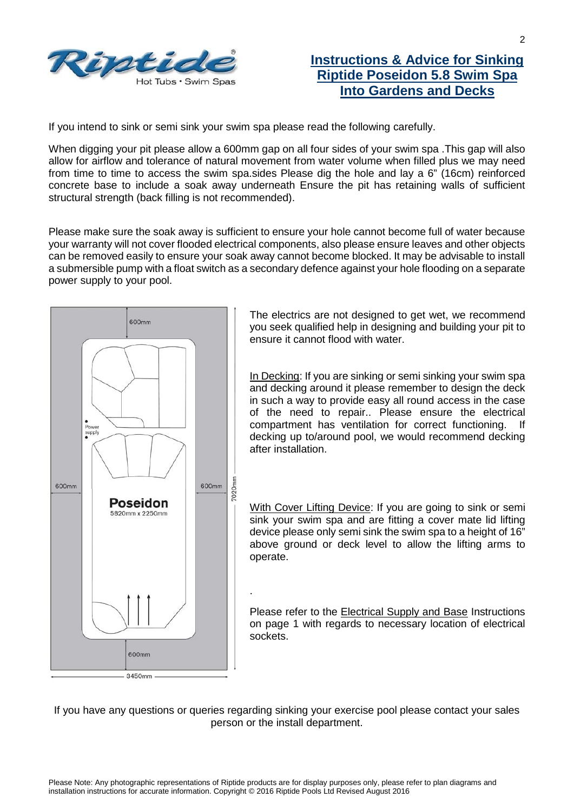

# **Instructions & Advice for Sinking Riptide Poseidon 5.8 Swim Spa Into Gardens and Decks**

If you intend to sink or semi sink your swim spa please read the following carefully.

When digging your pit please allow a 600mm gap on all four sides of your swim spa. This gap will also allow for airflow and tolerance of natural movement from water volume when filled plus we may need from time to time to access the swim spa.sides Please dig the hole and lay a 6" (16cm) reinforced concrete base to include a soak away underneath Ensure the pit has retaining walls of sufficient structural strength (back filling is not recommended).

Please make sure the soak away is sufficient to ensure your hole cannot become full of water because your warranty will not cover flooded electrical components, also please ensure leaves and other objects can be removed easily to ensure your soak away cannot become blocked. It may be advisable to install a submersible pump with a float switch as a secondary defence against your hole flooding on a separate power supply to your pool.



The electrics are not designed to get wet, we recommend you seek qualified help in designing and building your pit to ensure it cannot flood with water.

In Decking: If you are sinking or semi sinking your swim spa and decking around it please remember to design the deck in such a way to provide easy all round access in the case of the need to repair.. Please ensure the electrical compartment has ventilation for correct functioning. If decking up to/around pool, we would recommend decking after installation.

With Cover Lifting Device: If you are going to sink or semi sink your swim spa and are fitting a cover mate lid lifting device please only semi sink the swim spa to a height of 16" above ground or deck level to allow the lifting arms to operate.

Please refer to the Electrical Supply and Base Instructions on page 1 with regards to necessary location of electrical sockets.

If you have any questions or queries regarding sinking your exercise pool please contact your sales person or the install department.

.